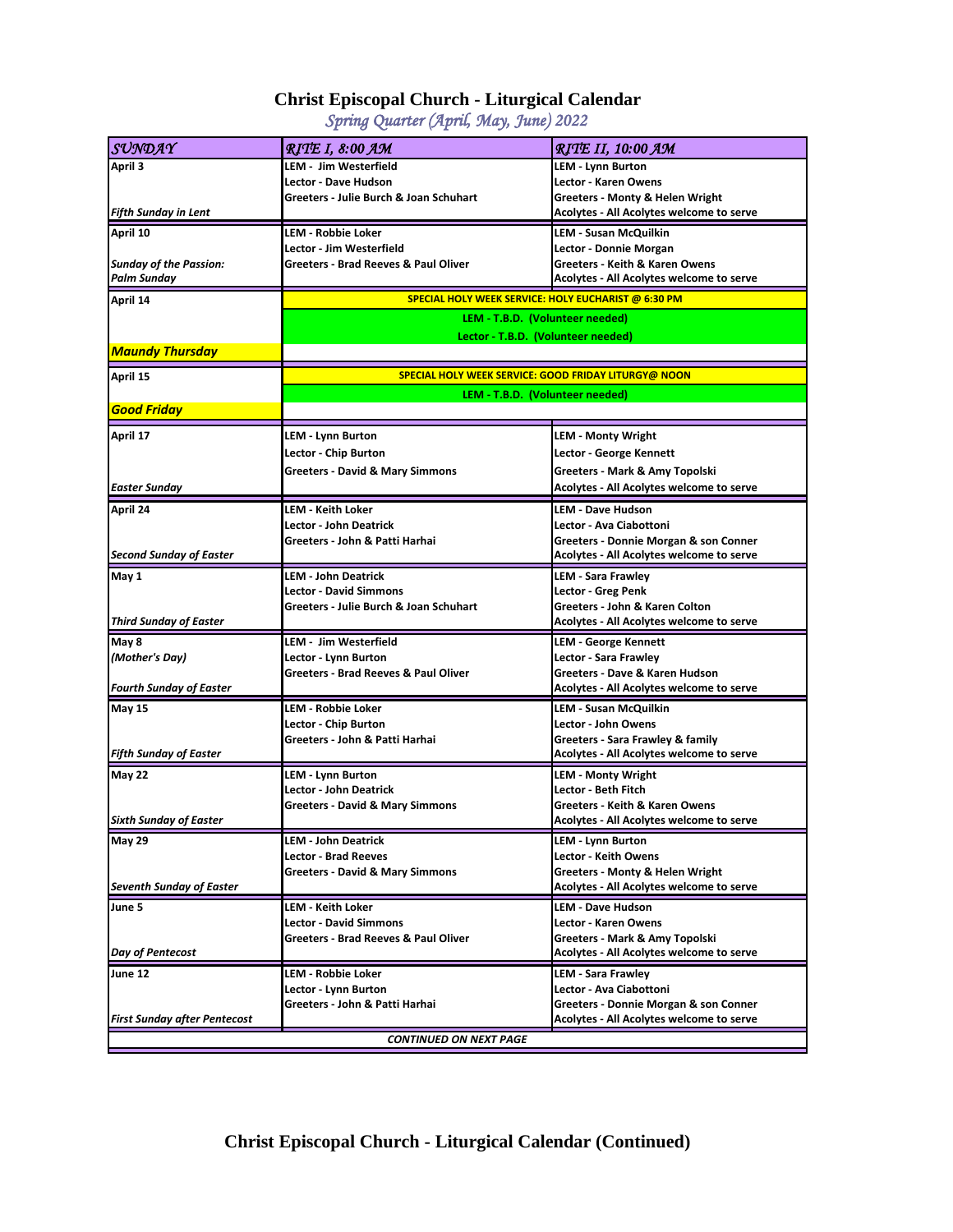## **Christ Episcopal Church - Liturgical Calendar**

*Spring Quarter (April, May, June) 2022*

| SUNDAY                              | <b>RITE I, 8:00 AM</b>                                                                         | <b>RITE II, 10:00 AM</b>                  |
|-------------------------------------|------------------------------------------------------------------------------------------------|-------------------------------------------|
| April 3                             | LEM - Jim Westerfield                                                                          | LEM - Lynn Burton                         |
|                                     | Lector - Dave Hudson                                                                           | <b>Lector - Karen Owens</b>               |
|                                     | Greeters - Julie Burch & Joan Schuhart                                                         | Greeters - Monty & Helen Wright           |
| <b>Fifth Sunday in Lent</b>         |                                                                                                | Acolytes - All Acolytes welcome to serve  |
| April 10                            | LEM - Robbie Loker                                                                             | LEM - Susan McQuilkin                     |
|                                     | Lector - Jim Westerfield                                                                       | Lector - Donnie Morgan                    |
| <b>Sunday of the Passion:</b>       | Greeters - Brad Reeves & Paul Oliver                                                           | Greeters - Keith & Karen Owens            |
| Palm Sunday                         |                                                                                                | Acolytes - All Acolytes welcome to serve  |
| April 14                            | SPECIAL HOLY WEEK SERVICE: HOLY EUCHARIST @ 6:30 PM                                            |                                           |
|                                     | LEM - T.B.D. (Volunteer needed)                                                                |                                           |
|                                     | Lector - T.B.D. (Volunteer needed)                                                             |                                           |
| <b>Maundy Thursday</b>              |                                                                                                |                                           |
| April 15                            | <b>SPECIAL HOLY WEEK SERVICE: GOOD FRIDAY LITURGY@ NOON</b><br>LEM - T.B.D. (Volunteer needed) |                                           |
|                                     |                                                                                                |                                           |
| <b>Good Friday</b>                  |                                                                                                |                                           |
| April 17                            | LEM - Lynn Burton                                                                              | <b>LEM - Monty Wright</b>                 |
|                                     | Lector - Chip Burton                                                                           | Lector - George Kennett                   |
|                                     | Greeters - David & Mary Simmons                                                                | Greeters - Mark & Amy Topolski            |
| <b>Easter Sunday</b>                |                                                                                                | Acolytes - All Acolytes welcome to serve  |
| April 24                            | LEM - Keith Loker                                                                              | <b>LEM - Dave Hudson</b>                  |
|                                     | <b>Lector - John Deatrick</b>                                                                  | Lector - Ava Ciabottoni                   |
|                                     | Greeters - John & Patti Harhai                                                                 | Greeters - Donnie Morgan & son Conner     |
| <b>Second Sunday of Easter</b>      |                                                                                                | Acolytes - All Acolytes welcome to serve  |
| May 1                               | LEM - John Deatrick                                                                            | <b>LEM - Sara Frawley</b>                 |
|                                     | Lector - David Simmons                                                                         | Lector - Greg Penk                        |
|                                     | Greeters - Julie Burch & Joan Schuhart                                                         | Greeters - John & Karen Colton            |
| <b>Third Sunday of Easter</b>       |                                                                                                | Acolytes - All Acolytes welcome to serve  |
| May 8                               | LEM - Jim Westerfield                                                                          | <b>LEM - George Kennett</b>               |
| (Mother's Day)                      | Lector - Lynn Burton                                                                           | Lector - Sara Frawley                     |
|                                     | Greeters - Brad Reeves & Paul Oliver                                                           | Greeters - Dave & Karen Hudson            |
| <b>Fourth Sunday of Easter</b>      |                                                                                                | Acolytes - All Acolytes welcome to serve  |
| <b>May 15</b>                       | LEM - Robbie Loker                                                                             | LEM - Susan McQuilkin                     |
|                                     | Lector - Chip Burton                                                                           | Lector - John Owens                       |
|                                     | Greeters - John & Patti Harhai                                                                 | Greeters - Sara Frawley & family          |
| <b>Fifth Sunday of Easter</b>       |                                                                                                | Acolytes - All Acolytes welcome to serve  |
| May 22                              | <b>LEM - Lynn Burton</b>                                                                       | LEM - Monty Wright                        |
|                                     | <b>Lector - John Deatrick</b>                                                                  | Lector - Beth Fitch                       |
|                                     | <b>Greeters - David &amp; Mary Simmons</b>                                                     | <b>Greeters - Keith &amp; Karen Owens</b> |
| <b>Sixth Sunday of Easter</b>       |                                                                                                | Acolytes - All Acolytes welcome to serve  |
| <b>May 29</b>                       | <b>LEM - John Deatrick</b>                                                                     | <b>LEM - Lynn Burton</b>                  |
|                                     | Lector - Brad Reeves                                                                           | Lector - Keith Owens                      |
|                                     | Greeters - David & Mary Simmons                                                                | Greeters - Monty & Helen Wright           |
| <b>Seventh Sunday of Easter</b>     |                                                                                                | Acolytes - All Acolytes welcome to serve  |
| June 5                              | LEM - Keith Loker                                                                              | LEM - Dave Hudson                         |
|                                     | <b>Lector - David Simmons</b>                                                                  | Lector - Karen Owens                      |
|                                     | Greeters - Brad Reeves & Paul Oliver                                                           | Greeters - Mark & Amy Topolski            |
| Day of Pentecost                    |                                                                                                | Acolytes - All Acolytes welcome to serve  |
| June 12                             | LEM - Robbie Loker                                                                             | <b>LEM - Sara Frawley</b>                 |
|                                     | Lector - Lynn Burton                                                                           | Lector - Ava Ciabottoni                   |
|                                     | Greeters - John & Patti Harhai                                                                 | Greeters - Donnie Morgan & son Conner     |
| <b>First Sunday after Pentecost</b> |                                                                                                | Acolytes - All Acolytes welcome to serve  |
| <b>CONTINUED ON NEXT PAGE</b>       |                                                                                                |                                           |